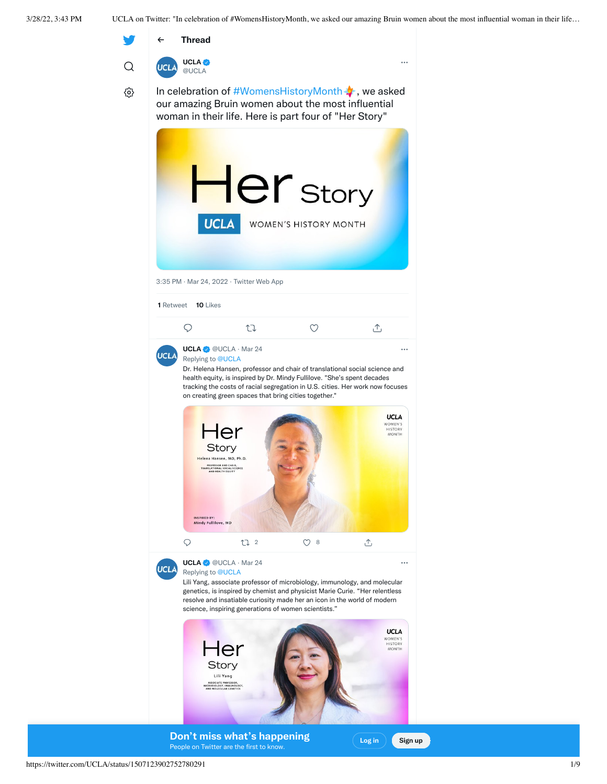

1 10